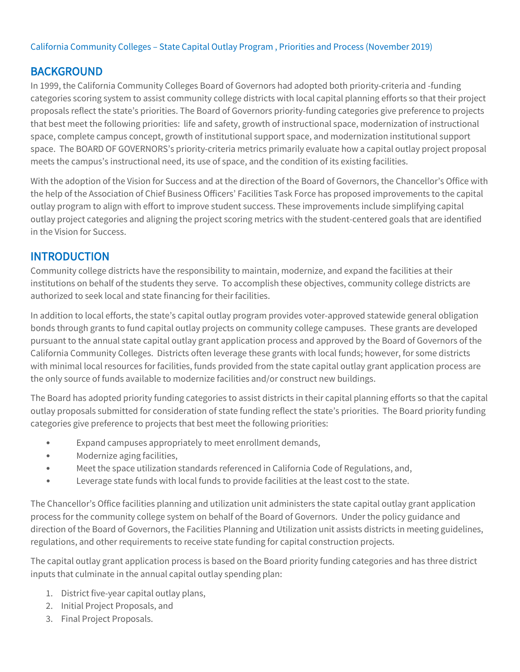#### California Community Colleges – State Capital Outlay Program , Priorities and Process (November 2019)

# BACKGROUND

In 1999, the California Community Colleges Board of Governors had adopted both priority-criteria and -funding categories scoring system to assist community college districts with local capital planning efforts so that their project proposals reflect the state's priorities. The Board of Governors priority-funding categories give preference to projects that best meet the following priorities: life and safety, growth of instructional space, modernization of instructional space, complete campus concept, growth of institutional support space, and modernization institutional support space. The BOARD OF GOVERNORS's priority-criteria metrics primarily evaluate how a capital outlay project proposal meets the campus's instructional need, its use of space, and the condition of its existing facilities.

With the adoption of the Vision for Success and at the direction of the Board of Governors, the Chancellor's Office with the help of the Association of Chief Business Officers' Facilities Task Force has proposed improvements to the capital outlay program to align with effort to improve student success. These improvements include simplifying capital outlay project categories and aligning the project scoring metrics with the student-centered goals that are identified in the Vision for Success.

# INTRODUCTION

Community college districts have the responsibility to maintain, modernize, and expand the facilities at their institutions on behalf of the students they serve. To accomplish these objectives, community college districts are authorized to seek local and state financing for their facilities.

In addition to local efforts, the state's capital outlay program provides voter-approved statewide general obligation bonds through grants to fund capital outlay projects on community college campuses. These grants are developed pursuant to the annual state capital outlay grant application process and approved by the Board of Governors of the California Community Colleges. Districts often leverage these grants with local funds; however, for some districts with minimal local resources for facilities, funds provided from the state capital outlay grant application process are the only source of funds available to modernize facilities and/or construct new buildings.

The Board has adopted priority funding categories to assist districts in their capital planning efforts so that the capital outlay proposals submitted for consideration of state funding reflect the state's priorities. The Board priority funding categories give preference to projects that best meet the following priorities:

- Expand campuses appropriately to meet enrollment demands,
- Modernize aging facilities,
- Meet the space utilization standards referenced in California Code of Regulations, and,
- Leverage state funds with local funds to provide facilities at the least cost to the state.

The Chancellor's Office facilities planning and utilization unit administers the state capital outlay grant application process for the community college system on behalf of the Board of Governors. Under the policy guidance and direction of the Board of Governors, the Facilities Planning and Utilization unit assists districts in meeting guidelines, regulations, and other requirements to receive state funding for capital construction projects.

The capital outlay grant application process is based on the Board priority funding categories and has three district inputs that culminate in the annual capital outlay spending plan:

- 1. District five-year capital outlay plans,
- 2. Initial Project Proposals, and
- 3. Final Project Proposals.